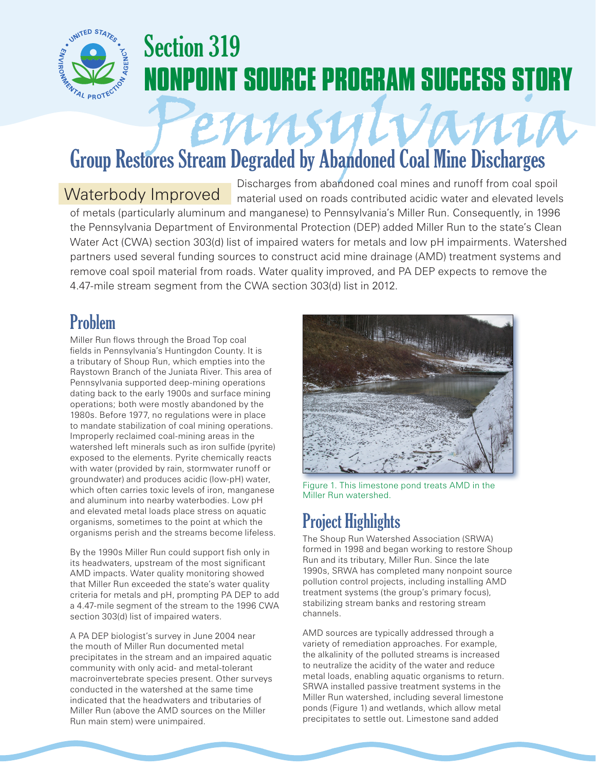

## Section 319 **NONPOINT SOURCE PROGRAM SUCCESS STORY**

# Pennsylvania Group Restores Stream Degraded by Abandoned Coal Mine Discharges

Discharges from abandoned coal mines and runoff from coal spoil material used on roads contributed acidic water and elevated levels of metals (particularly aluminum and manganese) to Pennsylvania's Miller Run. Consequently, in 1996 the Pennsylvania Department of Environmental Protection (DEP) added Miller Run to the state's Clean Water Act (CWA) section 303(d) list of impaired waters for metals and low pH impairments. Watershed partners used several funding sources to construct acid mine drainage (AMD) treatment systems and remove coal spoil material from roads. Water quality improved, and PA DEP expects to remove the 4.47-mile stream segment from the CWA section 303(d) list in 2012. Waterbody Improved

### Problem

Miller Run flows through the Broad Top coal fields in Pennsylvania's Huntingdon County. It is a tributary of Shoup Run, which empties into the Raystown Branch of the Juniata River. This area of Pennsylvania supported deep-mining operations dating back to the early 1900s and surface mining operations; both were mostly abandoned by the 1980s. Before 1977, no regulations were in place to mandate stabilization of coal mining operations. Improperly reclaimed coal-mining areas in the watershed left minerals such as iron sulfide (pyrite) exposed to the elements. Pyrite chemically reacts with water (provided by rain, stormwater runoff or groundwater) and produces acidic (low-pH) water, which often carries toxic levels of iron, manganese and aluminum into nearby waterbodies. Low pH and elevated metal loads place stress on aquatic organisms, sometimes to the point at which the organisms perish and the streams become lifeless.

By the 1990s Miller Run could support fish only in its headwaters, upstream of the most significant AMD impacts. Water quality monitoring showed that Miller Run exceeded the state's water quality criteria for metals and pH, prompting PA DEP to add a 4.47-mile segment of the stream to the 1996 CWA section 303(d) list of impaired waters.

A PA DEP biologist's survey in June 2004 near the mouth of Miller Run documented metal precipitates in the stream and an impaired aquatic community with only acid- and metal-tolerant macroinvertebrate species present. Other surveys conducted in the watershed at the same time indicated that the headwaters and tributaries of Miller Run (above the AMD sources on the Miller Run main stem) were unimpaired.



Figure 1. This limestone pond treats AMD in the Miller Run watershed.

## Project Highlights

The Shoup Run Watershed Association (SRWA) formed in 1998 and began working to restore Shoup Run and its tributary, Miller Run. Since the late 1990s, SRWA has completed many nonpoint source pollution control projects, including installing AMD treatment systems (the group's primary focus), stabilizing stream banks and restoring stream channels.

AMD sources are typically addressed through a variety of remediation approaches. For example, the alkalinity of the polluted streams is increased to neutralize the acidity of the water and reduce metal loads, enabling aquatic organisms to return. SRWA installed passive treatment systems in the Miller Run watershed, including several limestone ponds (Figure 1) and wetlands, which allow metal precipitates to settle out. Limestone sand added